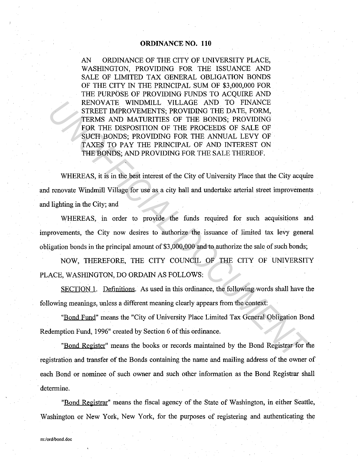AN ORDINANCE OF THE CITY OF UNIVERSITY PLACE, WASHINGTON, PROVIDING FOR THE ISSUANCE AND SALE OF LIMITED TAX GENERAL OBLIGATION BONDS OF THE CITY IN THE PRINCIPAL SUM OF \$3,000,000 FOR THE PURPOSE OF PROVIDING FUNDS TO ACOUIRE AND RENOVATE WINDMILL VILLAGE AND TO FINANCE STREET IMPROVEMENTS; PROVIDING THE DATE, FORM, TERMS AND MATURITIES OF THE BONDS; PROVIDING FOR THE DISPOSITION OF THE PROCEEDS OF SALE OF SUCH BONDS; PROVIDING FOR THE ANNUAL LEVY OF TAXES TO PAY THE PRINCIPAL OF AND INTEREST ON THE BONDS; AND PROVIDING FOR THE SALE THEREOF. ENOVATE WINDMLL VILLAGE AND TO FINANCE (THE DONEST THE DOCUMENTS; PROVIDING THE DATE, FORM,<br>
TERMS AND MATURITIES OF THE BONDS; PROVIDING<br>
FICINE USES TO PAY THE PISON CORTER DOMES. THE SOFT AXES TO PAY THE PROCUMENT FOR T

WHEREAS, it is in the best interest of the City of University Place that the City acquire and renovate Windmill Village for use as a city hall and undertake arterial street improvements and lighting in the City; and

WHEREAS, in order to provide the funds required for such acquisitions and improvements, the City now desires to authorize the issuance of limited tax levy general obligation bonds in the principal amount of  $$3,000,000$  and to authorize the sale of such bonds;

NOW, THEREFORE, THE CITY COUNCIL OF THE CITY OF UNIVERSITY PLACE, WASHINGTON, DO ORDAIN AS FOLLOWS:

SECTION I. Definitions. As used in this ordinance, the following words shall have the following meanings, unless a different meaning clearly appears from the context:

"Bond Fund" means the "City of University Place Limited Tax General Obligation Bond Redemption Fund, 1996" created by Section 6 of this ordinance.

"Bond Register" means the books or records maintained by the Bond Registrar for the registration and transfer of the Bonds containing the name and mailing address of the owner of each Bond or nominee of such owner and such other information as the Bond Registrar shall determine.

"Bond Registrar" means the fiscal agency of the State of Washington, in either Seattle, Washington or New York, New York, for the purposes of registering and authenticating the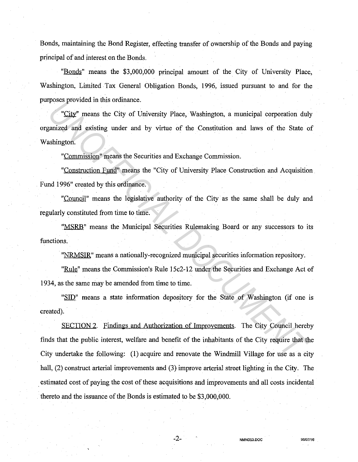Bonds, maintaining the Bond Register, effecting transfer of ownership of the Bonds and paying principal of and interest on the Bonds.

"Bonds" means the \$3,000,000 principal amount of the City of University Place, Washington, Limited Tax General Obligation Bonds, 1996, issued pursuant to and for the purposes provided in this ordinance.

"City" means the City of University Place, Washington, a municipal corporation duly organized and existing under and by virtue of the Constitution and laws of the State of Washington.

"Commission" means the Securities and Exchange Commission.

"Construction Fund" means the "City of University Place Construction and Acquisition Fund 1996" created by this ordinance.

"Council" means the legislative authority of the City as the same shall be duly and regularly constituted from time to time.

"MSRB" means the Municipal Securities Rulemaking Board or any successors to its functions.

"NRMSIR" means a nationally-recognized municipal securities information repository.

"Rule" means the Commission's Rule 15c2-12 under the Securities and Exchange Act of 1934, as the same may be amended from time to time.

"SID" means a state information depository for the State of Washington (if one is created).

SECTION 2. Findings and Authorization of Improvements. The City Council hereby finds that the public interest, welfare and benefit of the inhabitants of the City require that the City undertake the following: (1) acquire and renovate the Windmill Village for use as a city hall, (2) construct arterial improvements and (3) improve arterial street lighting in the City. The . estimated cost of paying the cost of these acquisitions and improvements and all costs incidental thereto and the issuance of the Bonds is estimated to be \$3,000,000. From the city of University Place, Washington, a municipal corporation dularized and existing under and by virtue of the Constitution and laws of the State coshington.<br>
"Commission" means the Securities and Exchange Commis

-2- **NMNOS3.DOC 96107/16**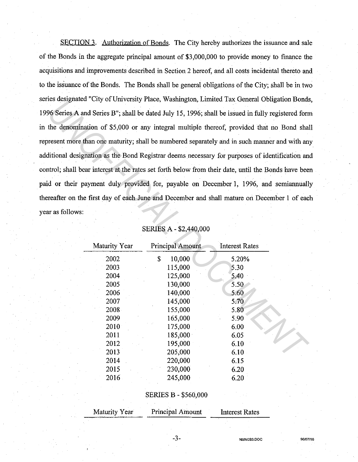SECTION 3. Authorization of Bonds. The City hereby authorizes the issuance and sale of the Bonds in the aggregate principal amount of \$3,000,000 to provide money to finance the acquisitions and improvements described in Section 2 hereof, and all costs incidental thereto and to the issuance of the Bonds. The Bonds shall be general obligations of the City; shall be in two series designated "City of University Place, Washington, Limited Tax General Obligation Bonds, 1996 Series A and Series B"; shall be dated July 15, 1996; shall be issued in fully registered form in the denomination of \$5,000 or any integral multiple thereof, provided that no Bond shall represent more than one maturity; shall be numbered separately and in such manner and with any additional designation as the Bond Registrar deems necessary for purposes of identification and control; shall bear interest at the rates set forth below from their date, until the Bonds have been paid or their payment duly provided for, payable on December 1, 1996, and semiannually thereafter on the first day of each June and December and shall mature on December I of each year as follows: *US designated Cay of Ourtearty Fact, Washington, Linnied Fax General Oongaton Foods<br>
Series A and Series B", shall be dated July 15, 1996; shall be issued in fully registered for<br>
the denomination of \$5,000 or any integra* 

| Maturity Year | Principal Amount | Interest Rates |  |
|---------------|------------------|----------------|--|
| 2002          | \$<br>10,000     | 5.20%          |  |
| 2003          | 115,000          | 5.30           |  |
| 2004          | 125,000          | 5.40           |  |
| 2005          | 130,000          | 5.50           |  |
| 2006          | 140,000          | 5.60           |  |
| 2007          | 145,000          | 5.70           |  |
| 2008          | 155,000          | 5.80           |  |
| 2009          | 165,000          | 5.90           |  |
| 2010          | 175.000          | 6.00           |  |
| 2011          | 185,000          | 6.05           |  |
| 2012          | 195,000          | 6.10           |  |
| 2013          | 205,000          | 6.10           |  |
| 2014          | 220,000          | 6.15           |  |
| 2015          | 230,000          | 6.20           |  |
| 2016          | 245,000          | 6.20           |  |

# SERIES A - \$2,440,000

## SERIES B - \$560,000

| Maturity Year | Principal Amount | <b>Interest Rates</b> |  |
|---------------|------------------|-----------------------|--|
|               |                  |                       |  |
|               |                  |                       |  |

-3-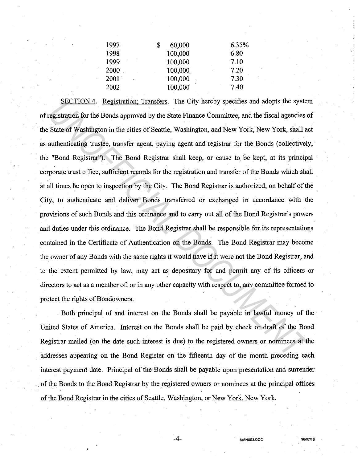| $1997 -$ | 60,000  | 6.35% |
|----------|---------|-------|
| 1998     | 100,000 | 6.80  |
| 1999     | 100,000 | 7.10  |
| 2000     | 100,000 | 7.20  |
| 2001     | 100,000 | 7.30  |
| 2002     | 100,000 | 7.40  |
|          |         |       |

SECTION 4. Registration: Transfers. The City hereby specifies and adopts the system of registration for the Bonds approved by the State Finance Committee, and the fiscal agencies of the State of Washington in the cities of Seattle, Washington, and New York, New York, shall act as authenticating trustee, transfer agent, paying agent and registrar for the Bonds (collectively, the "Bond Registrar"). The Bond Registrar shall keep, or cause to be kept, at its principal corporate trust office, sufficient records for the registration and transfer of the Bonds which shall at all times be open to inspection by the City. The Bond Registrar is authorized, on behalf of the City, to authenticate and deliver Bonds transferred or exchanged in accordance with the provisions of such Bonds and this ordinance and to carry out all of the Bond Registrar's powers and duties under this ordinance. The Bond Registrar shall be responsible for its representations contained in the Certificate of Authentication on the Bonds. The Bond Registrar may become the owner of any Bonds with the same rights it would have if it were not the Bond Registrar, and to the extent permitted by law, may act as depositary for and permit any of its officers or directors to act as a member of, or in any other capacity with respect to, any committee formed to protect the rights of Bondowners. **EXECTION 4.** Registration: Transfers. The City hereby specifies and adopts the syster<br>registration for the Bonds approved by the State Finance Committee, and the fiscal agencies of<br>State of Washington in the cities of Sea

Both principal of and interest on the Bonds shall be payable in lawful money of the United States of America. Interest on the Bonds shall be paid by check or draft of the Bond Registrar mailed (on the date such interest is due) to the registered owners or nominees at the addresses appearing on the Bond Register on the fifteenth day of the month preceding each interest payment date. Principal of the Bonds shall be payable upon presentation and surrender . of the Bonds to the Bond Registrar by the registered owners or nominees at the principal offices of the Bond Registrar in the cities of Seattle, Washington, or New York, New York.

-4- **NMNOS3.DOC 96/07/16**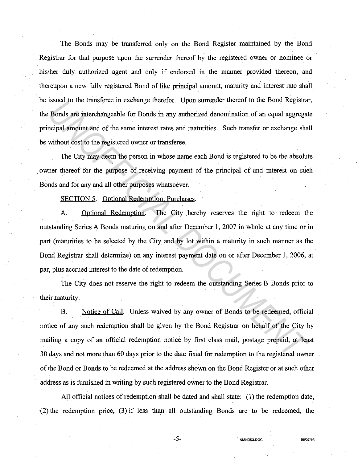The Bonds may be transferred only on the Bond Register maintained by the Bond Registrar for that purpose upon the surrender thereof by the registered owner or nominee or his/her duly authorized agent and only if endorsed in the manner provided thereon, and thereupon a new fully registered Bond of like principal amount, maturity and interest rate shall be issued to the transferee in exchange therefor. Upon surrender thereof to the Bond Registrar, the Bonds are interchangeable for Bonds in any authorized denomination of an equal aggregate principal amount and of the same interest rates and maturities. Such transfer or exchange shall be without cost to the registered owner or transferee.

The City may deem the person in whose name each Bond is registered to be the absolute owner thereof for the purpose of receiving payment of the principal of and interest on such Bonds and for any and all other purposes whatsoever.

SECTION 5. Optional Redemption: Purchases.

A. Optional Redemption. The City hereby reserves the right to redeem the outstanding Series A Bonds maturing on and after December 1, 2007 in whole at any time or in part (maturities to be selected by the City and by lot within a maturity in such manner as the Bond Registrar shall determine) on any interest payment date on or after December 1, 2006, at par, plus accrued interest to the date of redemption. Insued to the transferee in exchange thereori. Upon surrender thereori to the bond registrare and many and original amount and of the same interest rates and maturities. Such transfer or exchange share interests and maturi

The City does not reserve the right to redeem the outstanding Series B Bonds prior to their maturity.

B. Notice of Call. Unless waived by any owner of Bonds to be redeemed, official notice of any such redemption shall be given by the Bond Registrar on behalf of the City by mailing a copy of an official redemption notice by first class mail, postage prepaid, at least 30 days and not more than 60 days prior to the date fixed for redemption to the registered owner of the Bond or Bonds to be redeemed at the address shown on the Bond Register or at such other address as is furnished in writing by such registered oWner to the Bond Registrar.

All official notices of redemption shall be dated and shall state: (1) the redemption date, (2) the redemption price, (3) if less than all outstanding Bonds are to be redeemed, the

-5- **NMNOS3.00C 96107/16**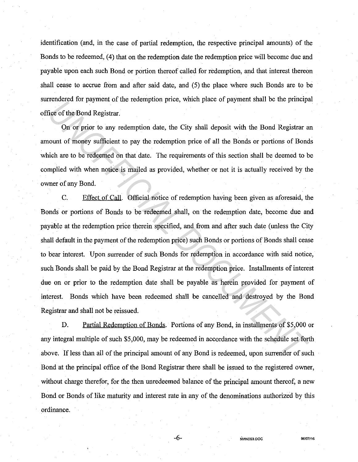identification (and, in the case of partial redemption, the respective principal amounts) of the Bonds to be redeemed, (4) that on the redemption date the redemption price will become due and payable upon each such Bond or portion thereof called for redemption, and that interest thereon shall cease to accrue from and after said date, and (5) the place where such Bonds are to be surrendered for payment of the redemption price, which place of payment shall be the principal office of the Bond Registrar.

On or prior to any redemption date, the City shall deposit with the Bond Registrar an amount of money sufficient to pay the redemption price of all the Bonds or portions of Bonds which are to be redeemed on that date. The requirements of this section shall be deemed to be complied with when notice is mailed as provided, whether or not it is actually received by the owner of any Bond.

C. Effect of Call. Official notice of redemption having been given as aforesaid, the Bonds or portions of Bonds to be redeemed shall, on the redemption date, become due and payable at the redemption price therein specified, and from and after such date (unless the City shall default in the payment of the redemption price) such Bonds or portions of Bonds shall cease to bear interest. Upon surrender of such Bonds for redemption in accordance with said notice, such Bonds shall be paid by the Bond Registrar at the redemption price. Installments of interest due on or prior to the redemption date shall be payable as herein provided for payment of interest. Bonds which have been redeemed shall be cancelled and destroyed by the Bond Registrar and shall not be reissued. Fraction of properties of the electropical price, which place of payment shall be the phasphere of the Bond Registrar.<br>
On or prior to any redemption date, the City shall deposit with the Bond Registrar a<br>
nount of money s

D. Partial Redemption of Bonds. Portions of any Bond, in installments of \$5,000 or any integral multiple of such \$5,000, may be redeemed in accordance with the schedule set forth above. If less than all of the principal amount of any Bond is redeemed, upon surrender of such Bond at the principal office of the Bond Registrar there shall be issued to the registered owner, without charge therefor, for the then unredeemed balance of the principal amount thereof, a new Bond or Bonds of like maturity and interest rate in any of the denominations authorized by this ordinance.

-6- **NMNOS3.00C 96/07116**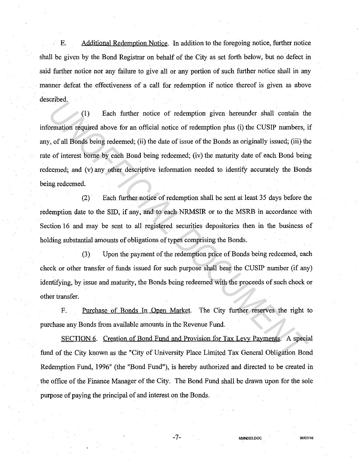÷. E. Additional Redemption Notice. In addition to the foregoing notice, further notice shall be given by the Bond Registrar on behalf of the City as set forth below, but no defect in said further notice nor any failure to give all or any portion of such further notice shall in any manner defeat the effectiveness of a call for redemption if notice thereof is given as above described.

(1) Each further notice of redemption given hereunder shall contain the information required above for an official notice of redemption plus (i) the CUSIP numbers, if any, of all Bonds being redeemed; (ii) the date of issue of the Bonds as originally issued; (iii) the rate of interest borne by each Bond being redeemed; (iv) the maturity date of each Bond being redeemed; and (v) any other descriptive information needed to identify accurately the Bonds being redeemed. (1) Each further notice of redemption given hereunder shall contain the contain the contained above for an official notice of redemption plus (i) the CUSIP numbers, it, of all Bonds being redeemed; (ii) the date of issue o

(2) Each further notice of redemption shall be sent at least 35 days before the redemption date to the SID, if any, and to each NRMSIR or to the MSRB in accordance with Section 16 and may be sent to all registered securities depositories then in the business of holding substantial amounts of obligations of types comprising the Bonds.

(3) Upon the payment of the redemption price of Bonds being redeemed, each check or other transfer of funds issued for such purpose shall bear the CUSIP number (if any) identifying, by issue and maturity, the Bonds being redeemed with the proceeds of such check or other transfer.

F. Purchase of Bonds In Open Market. The City further reserves the right to purchase any Bonds from available amounts in the Revenue Fund.

SECTION 6. Creation of Bond Fund and Provision for Tax Levy Payments. A special fund of the City known as the "City of University Place Limited Tax General Obligation Bond Redemption Fund, 1996" (the "Bond Fund"), is hereby authorized and directed to be created in . the office of the Finance Manager of the City. The Bond Fund shall be drawn upon for the sole purpose of paying the principal of and interest on the Bonds.

-7- **NMNOS3.DOC 96107116**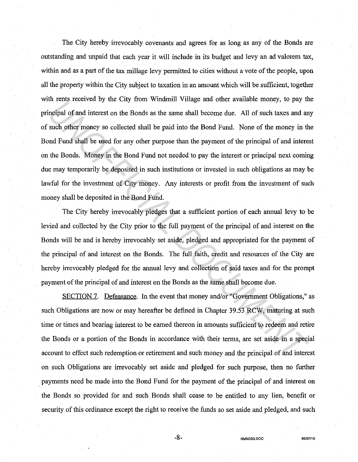The City hereby irrevocably covenants and agrees for as long as any of the Bonds are outstanding and unpaid that each year it will include in its budget and levy an ad valorem tax, within and as a part of the tax millage levy permitted to cities without a vote of the people, upon all the property within the City subject to taxation in an amount which will be sufficient, together with rents received by the City from Windmill Village and other available money, to pay the principal of and interest on the Bonds as the same shall become due. All of such taxes and any of such other money so collected shall be paid into the Bond Fund. None of the money in the Bond Fund shall be used for any other purpose than the payment of the principal of and interest on the Bonds. Money in the Bond Fund not needed to pay the interest or principal next coming due may temporarily be deposited in such institutions or invested in such obligations as may be lawful for the investment of City money. Any interests or profit from the investment of such money shall be deposited in the Bond Fund. *United States and the End States and the CHT Domina and the States and between the Bonds in section of the Bond Findal be paid into the Bond Findal. None of the money in the Bond of the money so collected shall be paid in* 

The City hereby irrevocably pledges that a sufficient portion of each annual levy to be levied and collected by the City prior to the full payment of the principal of and interest on the Bonds will be and is hereby irrevocably set aside, pledged and appropriated for the payment of the principal of and interest on the Bonds. The full faith, credit and resources of the City are hereby irrevocably pledged for the armual levy and collection of said taxes and for the prompt payment of the principal of and interest on the Bonds as the same shall become due.

SECTION 7. Defeasance. In the event that money and/or "Government Obligations," as such Obligations are now or may hereafter be defined in Chapter 39.53 RCW, maturing at such time or times and bearing interest to be earned thereon in amounts sufficient to redeem and retire the Bonds or a portion of the Bonds in accordance with their terms, are set aside in a special account to effect such redemption or retirement and such money and the principal of and interest on such Obligations are irrevocably set aside and pledged for such purpose, then no further . payments need be made into the Bond Fund for the payment of the principal of and interest on the Bonds so provided for and such Bonds shall cease to be entitled to any lien, benefit or security of this ordinance except the right to receive the funds so set aside and pledged, and such

-8- **NMNOS3.DOC 96107116**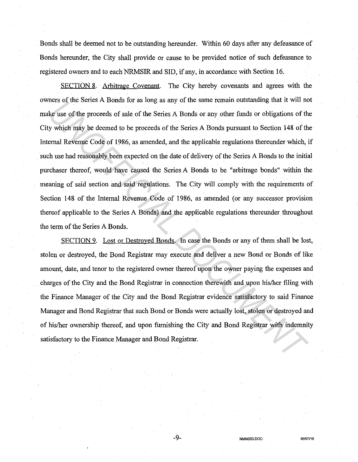Bonds shall be deemed not to be outstanding hereunder. Within 60 days after any defeasance of Bonds hereunder, the City shall provide or cause to be provided notice of such defeasance to registered owners and to each NRMSIR and SID, if any, in accordance with Section 16.

SECTION 8. Arbitrage Covenant. The City hereby covenants and agrees with the owners of the Series A Bonds for as long as any of the same remain outstanding that it will not make use of the proceeds of sale of the Series A Bonds or any other funds or obligations of the City which may be deemed to be proceeds of the Series A Bonds pursuant to Section 148 of the Internal Revenue Code of 1986, as amended, and the applicable regulations thereunder which, if such use had reasonably been expected on the date of delivery of the Series A Bonds to the initial purchaser thereof, would have caused the Series A Bonds to be "arbitrage bonds" within the meaning of said section and said regulations. The City will comply with the requirements of Section 148 of the Internal Revenue Code of 1986, as amended (or any successor provision thereof applicable to the Series A Bonds) and the applicable regulations thereunder throughout the term of the Series A Bonds. *UNITY OF THE SET A DOMS IOT as iong as any of the same reliant oustaining that it with the set of the proceeds of sale of the Series A Bonds or any other finds or obligations of the youter funds or the proceeds of sale of* 

SECTION 9. Lost or Destroyed Bonds. In case the Bonds or any of them shall be lost, stolen or destroyed, the Bond Registrar may execute and deliver a new Bond or Bonds of like amount, date, and tenor to the registered owner thereof upon the owner paying the expenses and charges of the City and the Bond Registrar in connection therewith and upon his/her filing with the Finance Manager of the City and the Bond Registrar evidence satisfactory to said Finance Manager and Bond Registrar that such Bond or Bonds were actually lost, stolen or destroyed and of his/her ownership thereof, and upon furnishing the City and Bond Registrar with indenmity satisfactory to the Finance Manager and Bond Registrar.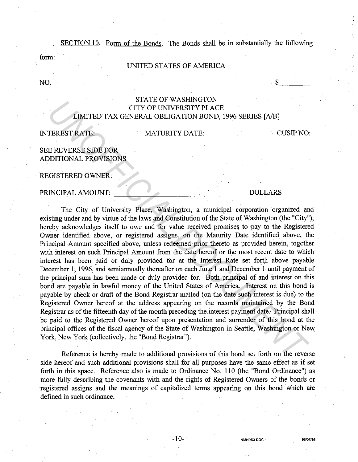SECTION 10. Form of the Bonds. The Bonds shall be in substantially the following

form:

## UNITED STATES OF AMERICA

 $NO.$ 

# STATE OF WASHINGTON CITY OF UNIVERSITY PLACE LIMITEDTAX GENERAL OBLIGATION BOND, 1996 SERIES [A/BJ

## INTEREST RATE:

## MATURITY DATE: CUSIP NO:

 $\frac{1}{2}$ 

# SEE REVERSE SIDE FOR ADDITIONAL PROVISIONS

REGISTERED OWNER:

## PRINCIPAL AMOUNT: The set of the set of the set of the set of the set of the set of the set of the set of the set of the set of the set of the set of the set of the set of the set of the set of the set of the set of the se

The City of University Place, Washington, a municipal corporation organized and existing under and by virtue of the laws and Constitution of the State of Washington (the "City"), hereby acknowledges itself to owe and for value received promises to pay to the Registered Owner identified above, or registered assigns, on the Maturity Date identified above, the Principal Amount specified above, unless redeemed prior thereto as provided herein, together with interest on such Principal Amount from the date hereof or the most recent date to which interest has been paid or duly provided for at the Interest Rate set forth above payable December 1, 1996, and semiannually thereafter on each June 1 and December 1 until payment of the principal sum has been made or duly provided for. Both principal of and interest on this bond are payable in lawful money of the United States of America. Interest on this bond is payable by check or draft of the Bond Registrar mailed (on the date such interest is due) to the Registered Owner hereof at the address appearing on the records maintained by the Bond Registrar as of the fifteenth day of the month preceding the interest payment date. Principal shall be paid to the Registered Owner hereof upon presentation and surrender of this bond at the principal offices of the fiscal agency of the State of Washington in Seattle, Washington or New York, New York (collectively, the "Bond Registrar"). **UNITED TAX GENERAL OBLIGATION**<br> **UNITED TAX GENERAL OBLIGATION BOND**, 1996 SERIES [A/B]<br> **UNITED TAX GENERAL OBLIGATION BOND**, 1996 SERIES [A/B]<br> **UNITED TAX GENERAL OBLIGATION BOND**, 1996 SERIES [A/B]<br> **UNITED REVERSE SU** 

Reference is hereby made to additional provisions of this bond set forth on the reverse side hereof and such additional provisions shall for all purposes have the same effect as if set forth in this space. Reference also is made to Ordinance No. 110 (the "Bond Ordinance") as more fully describing the covenants with and the rights of Registered Owners of the bonds or ·registered assigns and the meanings of capitalized terms appearing on this bond which are defined in such ordinance.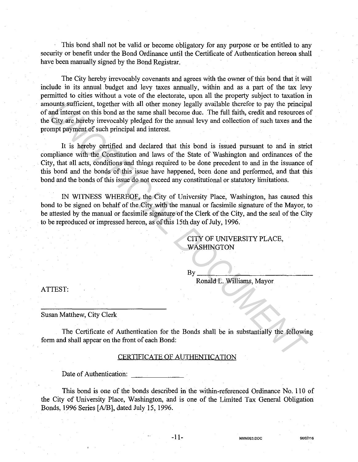This bond shall not be valid or become obligatory for any purpose or be entitled to any security or benefit under the Bond Ordinance until the Certificate of Authentication hereon shall have been manually signed by the Bond Registrar.

The City hereby irrevocably covenants and agrees with the owner of this bond that it will include in its annual budget and levy taxes annually, within and as a part of the tax levy permitted to cities without a vote of the electorate, upon all the property subject to taxation in amounts sufficient, together with all other money legally available therefor to pay the principal of and interest on this bond as the same shall become due. The full faith, credit and resources of the City are hereby irrevocably pledged for the annual levy and collection of such taxes and the prompt payment of such principal and interest.

It is hereby certified and declared that this bond is issued pursuant to and in strict compliance with the Constitution and laws of the State of Washington and ordinances of the City, that all acts, conditions and things required to be done precedent to and in the issuance of this bond and the bonds of this issue have happened, been done and performed, and that this bond and the bonds of this issue do not exceed any constitutional or statutory limitations. ounts sufficient, together with all other money legally available therefor to pay the princips<br>and interests on this bond as the same shall become that. The full faith, credit and resources<br>City are hereby inrevocably pled

IN WITNESS WHEREOF, the City of University Place, Washington, has caused this bond to be signed on behalf of the City with the manual or facsimile signature of the Mayor, to be attested by the manual or facsimile signature of the Clerk of the City, and the seal of the City to be reproduced or impressed hereon, as of this 15th day of July, 1996.

> CITY OF UNIVERSITY PLACE, WASHINGTON

 $By$ 

Ronald L. Williams, Mayor

ATTEST:

Susan Matthew, City Clerk

The Certificate of Authentication for the Bonds shall be in substantially the following form and shall appear on the front of each Bond:

## CERTIFICATE OF AUTHENTICATION

Date of Authentication:

This bond is one of the bonds described in the within-referenced Ordinance No. 110 of the City of University Place, Washington, and is one of the Limited Tax General Obligation Bonds, 1996 Series [AIB], dated July 15, 1996.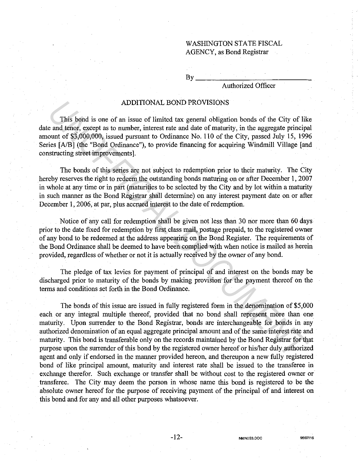## WASHINGTON STATE FISCAL AGENCY, as Bond Registrar

 $Bv$ 

# Authorized Officer

## ADDITIONAL BOND PROVISIONS

This bond is one of an issue of limited tax general obligation bonds of the City of like date and tenor, except as to number, interest rate and date of maturity, in the aggregate principal amount of \$3,000,000, issued pursuant to Ordinance No. 110 of the City, passed July 15, 1996 Series [A/B] (the "Bond Ordinance"), to provide financing for acquiring Windmill Village [and constructing street improvements].

The bonds of this series are not subject to redemption prior to their maturity. The City hereby reserves the right to redeem the outstanding bonds maturing on or after December 1, 2007 in whole at any time or in part (maturities to be selected by the City and by lot within a maturity in such manner as the Bond Registrar shall determine) on any interest payment date on or after December 1, 2006, at par, plus accrued interest to the date of redemption.

Notice of any call for redemption shall be given not less than 30 nor more than 60 days prior to the date fixed for redemption by first class mail, postage prepaid, to the registered owner of any bond to be redeemed at the address appearing on the Bond Register. The requirements of the Bond Ordinance shall be deemed to have been complied with when notice is mailed as herein provided, regardless of whether or not it is actually received by the owner of any bond.

The pledge of tax levies for payment of principal of and interest on the bonds may be discharged prior to maturity of the bonds by making provision for the payment thereof on the terms and conditions set forth in the Bond Ordinance.

The bonds of this issue are issued in fully registered form in the denomination of \$5,000 each or any integral multiple thereof, provided that no bond shall represent more than one maturity. Upon surrender to the Bond Registrar, bonds are interchangeable for bonds in any authorized denomination of an equal aggregate principal amount and of the same interest rate and maturity. This bond is transferable only on the records maintained by the Bond Registrar for that purpose upon the surrender of this bond by the registered owner hereof or his/her duly authorized agent and only if endorsed in the manner provided hereon, and thereupon a new fully registered bond of like principal amount, maturity and interest rate shall be issued to the transferee in exchange therefor. Such exchange or transfer shall be without cost to the registered owner or . transferee. The City may deem the person in whose name this bond is registered to be the absolute owner hereof for the purpose of receiving payment of the principal of and interest on this bond and for any and all other purposes whatsoever. **ADDITIONAL BOND PROVISIONS**<br> **This bond is one of an issue of limited tax general obligation bonds of the City of like<br>
ea at tenon, except as to aumber, interest the and date of maturity, in the aggregate principa<br>
count**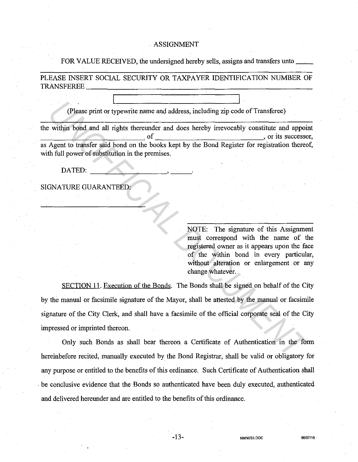## ASSIGNMENT

## FOR VALUE RECEIVED, the undersigned hereby sells, assigns and transfers unto  $\equiv$

PLEASE INSERT SOCIAL SECURITY OR TAXPAYER IDENTIFICATION NUMBER OF TRANSFEREE\_~~~~~~~~~~~~~~~~~~~~~~-

(Please print or typewrite name and address, including zip code of Transferee)

the within bond and all rights thereunder and does hereby irrevocably constitute and appoint  $\sigma$  of  $\sim$  , or its successor, as Agent to transfer said bond on the books kept by the Bond Register for registration thereof, with full power of substitution in the premises.

SIGNATURE GUARANTEED:

NOTE: The signature of this Assignment must correspond with the name of the registered owner as it appears upon the face of the within bond in every particular, without alteration or enlargement or any change whatever.

SECTION 11. Execution of the Bonds. The Bonds shall be signed on behalf of the City by the manual or facsimile signature of the Mayor, shall be attested by the manual or facsimile signature of the City Clerk, and shall have a facsimile of the official corporate seal of the City impressed or imprinted thereon. (Please print or typewrite name and address, including zip code of Transferce)<br> **Within bond and all rights thereunder and does hereby irrevocably constitute and appoint<br>
Agent to transfer said bond on the books kept by th** 

Only such Bonds as shall bear thereon. a Certificate of Authentication in the form hereinbefore recited, manually executed by the Bond Registrar, shall be valid or obligatory for any purpose or entitled to the benefits of this ordinance. Such Certificate of Authentication shall . be conclusive evidence that the Bonds so authenticated have been duly executed, authenticated and delivered hereunder and are entitled to the benefits of this ordinance.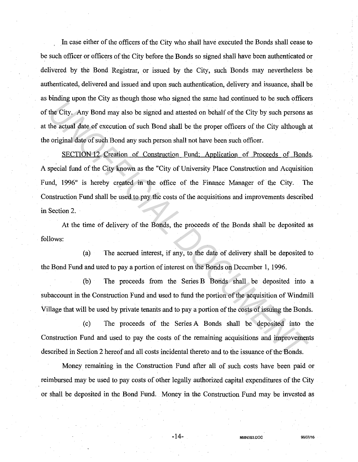In case either of the officers of the City who shall have executed the Bonds shall cease to be such officer or officers of the City before the Bonds so signed shall have been authenticated or delivered by the Bond Registrar, or issued by the City, such Bonds may nevertheless be authenticated, delivered and issued and upon such authentication, delivery and issuance, shall be as binding upon the City as though those who signed the same had continued to be such officers of the City. Any Bond may also be signed and attested on behalf of the City by such persons as at the actual date of execution of such Bond shall be the proper officers of the City although at the original date of such Bond any such person shall not have been such officer.

SECTION 12. Creation of Construction Fund: Application of Proceeds of Bonds. A special fund of the City known as the "City of University Place Construction and Acquisition Fund, 1996" is hereby created in the office of the Finance Manager of the City. The Construction Fund shall be used to pay the costs of the acquisitions and improvements described in Section 2. *UNDER THE WARD THE SIGNAL DER SIGNAL DER CITY TO SERECT THE SIGNAL DREAD THE POSITION IS DESITED AND A DREAD THE CITY ON SUCH DREAD AND SOFTIME THE CITY ON SUCH DREAD AND SOFTIME THE SECTION 12. Creation of Construction* 

At the time of delivery of the Bonds, the proceeds of the Bonds shall be deposited as follows:

(a) The accrued interest, if any, to the date of delivery shall be deposited to the Bond Fund and used to pay a portion of interest on the Bonds on December 1, 1996.

(b) The proceeds from the Series B Bonds shall be deposited into a subaccount in the Construction Fund and used to fund the portion of the acquisition of Windmill Village that will be used by private tenants and to pay a portion of the costs of issuing the Bonds.

( c) The proceeds of the Series A Bonds shall be deposited into the Construction Fund and used to pay the costs of the remaining acquisitions and improvements described in Section 2 hereof and all costs incidental thereto and to the issuance of the Bonds.

Money remaining in the Construction Fund after all of such costs have been paid or reimbursed may be used to pay costs of other legally authorized capital expenditures of the City or shall be deposited in the Bond Fund. Money in the Construction Fund may be invested as

-14- **NMNOS3.DOC 96107/16**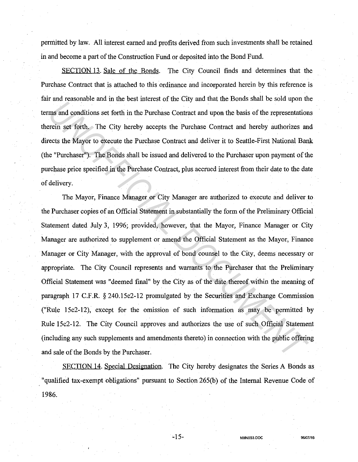permitted by law. All interest earned and profits derived from such investments shall be retained in and become a part of the Construction Fund or deposited into the Bond Fund.

SECTION 13. Sale of the Bonds. The City Council finds and determines that the Purchase Contract that is attached to this ordinance and incorporated herein by this reference is fair and reasonable and in the best interest of the City and that the Bonds shall be sold upon the terms and conditions set forth in the Purchase Contract and upon the basis of the representations therein set forth. The City hereby accepts the Purchase Contract and hereby authorizes and directs the Mayor to execute the Purchase Contract and deliver it to Seattle-First National Bank (the "Purchaser"). The Bonds shall be issued and delivered to the Purchaser upon payment of the purchase price specified in the Purchase Contract, plus accrued interest from their date to the date of delivery.

The Mayor, Finance Manager or City Manager are authorized to execute and deliver to the Purchaser copies of an Official Statement in substantially the form of the Preliminary Official Statement dated July 3, 1996; provided, however, that the Mayor, Finance Manager or City Manager are authorized to supplement or amend the Official Statement as the Mayor, Finance Manager or City Manager, with the approval of bond counsel to the City, deems necessary or appropriate. The City Council represents and warrants to the Purchaser that the Preliminary Official Statement was "deemed final" by the City as of the date thereof within the meaning of paragraph 17 C.F.R. § 240.15c2-12 promulgated by the Securities and Exchange Commission ("Rule 15c2-12), except for the omission of such information as may be permitted by Rule 15c2-12. The City Council approves and authorizes the use of such Official Statement (including any such supplements and amendments thereto) in connection with the public offering and sale of the Bonds by the Purchaser. *Unit is take the solution* and *in the best linets Contract and upon the basis of the representation*<br> *Units and conditions set forth* in the Purchase Contract and upon the basis of the representation<br> *Units are the Pur* 

SECTION 14. Special Designation. The City hereby designates the Series A Bonds as , "qualified tax-exempt obligations" pursuant to Section 265(b) of the Internal Revenue Code of 1986.

-15- **NMNOS3.DOC 96/07/16**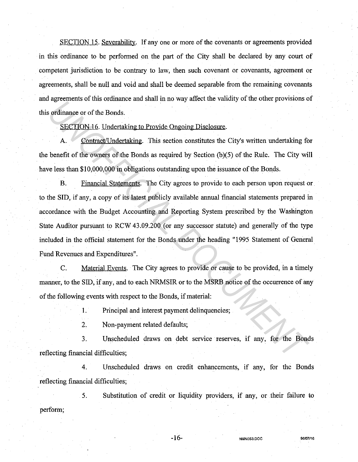SECTION 15. Severability. If any one or more of the covenants or agreements provided in this ordinance to be performed on the part of the City shall be declared by any court of competent jurisdiction to be contrary to law, then such covenant or covenants, agreement or agreements, shall be null and void and shall be deemed separable from the remaining covenants and agreements of this ordinance and shall in no way affect the validity of the other provisions of this ordinance or of the Bonds.

SECTION 16. Undertaking to Provide Ongoing Disclosure.

A. Contract/Undertaking. This section constitutes the City's written undertaking for the benefit of the owners of the Bonds as required by Section  $(b)(5)$  of the Rule. The City will have less than \$10,000,000 in obligations outstanding upon the issuance of the Bonds.

B. Financial Statements. The City agrees to provide to each person upon request or to the SID, if any, a copy of its latest publicly available annual financial statements prepared in accordance with the Budget Accounting and Reporting System prescribed by the Washington State Auditor pursuant to RCW 43.09.200 (or any successor statute) and generally of the type included in the official statement for the Bonds under the heading "1995 Statement of General Fund Revenues and Expenditures". *Universidents of the Bondstate and stating to Provide Ongoing Disclosure*<br>
SECTION 16. Undertaking to Provide Ongoing Disclosure.<br>
A. Contract/Undertaking: This section constitutes the City's written undertaking fo<br>
benef

C. Material Events. The City agrees to provide or cause to be provided, in a timely manner, to the SID, if any, and to each NRMSIR or to the MSRB notice of the occurrence of any of the following events with respect to the Bonds, if material:

1. Principal and interest payment delinquencies;

2. Non-payment related defaults;

3. Unscheduled draws on debt service reserves, if any, for the Bonds reflecting financial difficulties;

4. Unscheduled draws on credit enhancements, if any, for the Bonds reflecting financial difficulties;

5. Substitution of credit or liquidity providers, if any, or their failure to perform;

-16- **NMNOS3.DOC 96/07116**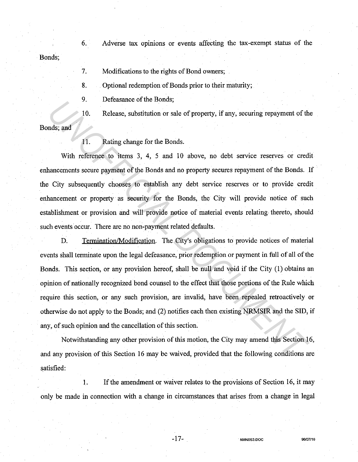Bonds; 6. Adverse tax opinions or events affecting the tax-exempt status of the

> 7. Modifications to the rights of Bond owners;

8. Optional redemption of Bonds prior to their maturity;

9. Defeasance of the Bonds;

10. Release, substitution or sale of property, if any, securing repayment of the

Bonds; and

11. Rating change for the Bonds.

With reference to items 3, 4, 5 and 10 above, no debt service reserves or credit enhancements secure payment of the Bonds and no property secures repayment of the Bonds. If the City subsequently chooses to establish any debt service reserves or to provide credit enhancement or property as security for the Bonds, the City will provide notice of such establishment or provision and will provide notice of material events relating thereto, should such events occur. There are no non-payment related defaults.

D. Termination/Modification. The City's obligations to provide notices of material events shall terminate upon the legal defeasance, prior redemption or payment in full of all of the Bonds. This section, or any provision hereof, shall be null and void if the City (1) obtains an opinion of nationally recognized bond counsel to the effect that those portions of the Rule which require this section, or any such provision, are invalid, have been repealed retroactively or otherwise do not apply to the Bonds; and (2) notifies each then existing NRMSIR and the SID, if any, of such opinion and the cancellation of this section. France of the tomas,<br>
10. Release, substitution or sale of property, if any, securing repayment of th<br>
11. Rating change for the Bonds.<br>
11. Rating change for the Bonds.<br>
11. Rating change for the Bonds.<br>
11. Rating change

Notwithstanding any other provision of this motion, the City may amend this Section 16, and any provision of this Section 16 may be waived, provided that the following conditions are satisfied:

1. If the amendment or waiver relates to the provisions of Section 16, it may only be made in connection with a change in circumstances that arises from a change in legal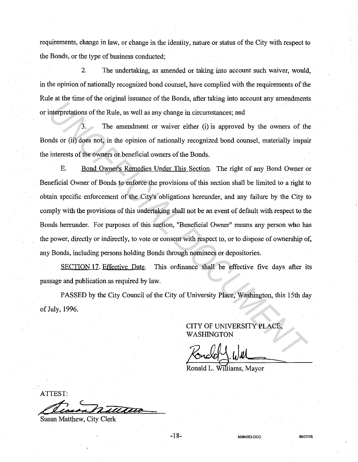requirements, change in law, or change in the identity, nature or status of the City with respect to the Bonds, or the type of business conducted;

2. The undertaking, as amended or taking into account such waiver, would, in the opinion of nationally recognized bond counsel, have complied with the requirements of the Rule at the time of the original issuance of the Bonds, after taking into account any amendments or interpretations of the Rule, as well as any change in circumstances; and

3. The amendment or waiver either (i) is approved by the owners of the Bonds or (ii) does not, in the opinion of nationally recognized bond counsel, materially impair the interests of the owners or beneficial owners of the Bonds.

E. Bond Owner's Remedies Under This Section. The right of any Bond Owner or Beneficial Owner of Bonds to enforce the provisions of this section shall be limited to a right to obtain specific enforcement of the City's obligations hereunder, and any failure by the City to comply with the provisions of this undertaking shall not be an event of default with respect to the Bonds hereunder. For purposes of this section, "Beneficial Owner" means any person who has the power, directly or indirectly, to vote or consent with respect to, or to dispose of ownership of, any Bonds, including persons holding Bonds through nominees or depositories. Interpretations of the Rule, as well as any change in circumstances; and<br>interpretations of the Rule, as well as any change in circumstances; and<br>interpretations of the Rule, as well as any change in circumstances; and<br>int

SECTION 17. Effective Date. This ordinance shall be effective five days after its passage and publication as required by law.

PASSED by the City Council of the City of University Place, Washington, this 15th day of July, 1996.

> CITY OF UNIVERSITY PLACE, WASHINGTON

**NMNOS3.00C 96107/16** 

Ronald L. Williams, Mayor

ATTEST:

**Susan Matthew, City Clerk** 

-18-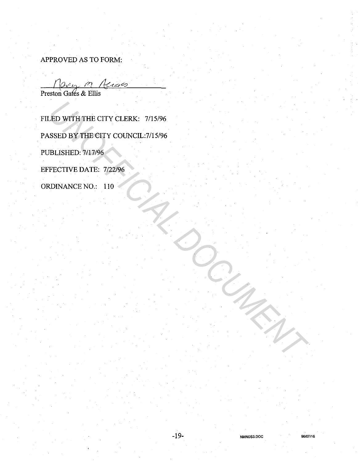APPROVED AS TO FORM:

Preston Gates & Ellis

FILED WITH THE CITY CLERK: 7/15/96 PASSED BY THE CITY COUNCIL:7/15/96 PUBLISHED: 7/17/96 EFFECTIVE DATE: 7/22/96 ORDINANCE NO.: 110 *UNOFFICIAL DOCUMENT*